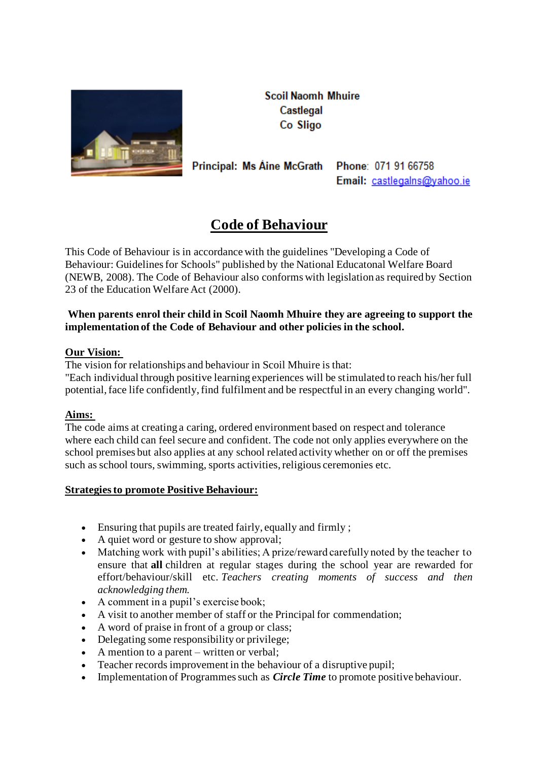

**Scoil Naomh Mhuire** Castlegal Co Sligo

Principal: Ms Aine McGrath

Phone: 071 91 66758 Email: castlegalns@yahoo.ie

# **Code of Behaviour**

This Code of Behaviour is in accordance with the guidelines "Developing a Code of Behaviour: Guidelines for Schools" published by the National Educatonal Welfare Board (NEWB, 2008). The Code of Behaviour also conforms with legislation as required by Section 23 of the Education Welfare Act (2000).

# **When parents enrol their child in Scoil Naomh Mhuire they are agreeing to support the implementation of the Code of Behaviour and other policies in the school.**

## **Our Vision:**

The vision for relationships and behaviour in Scoil Mhuire is that:

"Each individual through positive learning experiences will be stimulated to reach his/her full potential, face life confidently, find fulfilment and be respectful in an every changing world".

# **Aims:**

The code aims at creating a caring, ordered environment based on respect and tolerance where each child can feel secure and confident. The code not only applies everywhere on the school premises but also applies at any school related activity whether on or off the premises such as school tours, swimming, sports activities, religious ceremonies etc.

# **Strategies to promote Positive Behaviour:**

- Ensuring that pupils are treated fairly, equally and firmly ;
- A quiet word or gesture to show approval:
- Matching work with pupil's abilities; A prize/reward carefully noted by the teacher to ensure that **all** children at regular stages during the school year are rewarded for effort/behaviour/skill etc. *Teachers creating moments of success and then acknowledging them.*
- A comment in a pupil's exercise book;
- A visit to another member of staff or the Principal for commendation;
- A word of praise in front of a group or class;
- Delegating some responsibility or privilege;
- A mention to a parent written or verbal;
- Teacher records improvement in the behaviour of a disruptive pupil;
- Implementation of Programmes such as *Circle Time* to promote positive behaviour.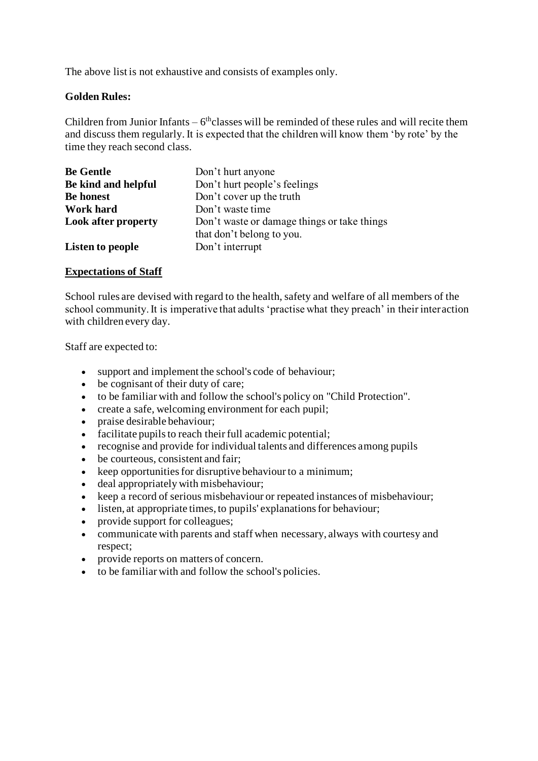The above list is not exhaustive and consists of examples only.

## **Golden Rules:**

Children from Junior Infants  $-6<sup>th</sup>$ classes will be reminded of these rules and will recite them and discuss them regularly. It is expected that the children will know them 'by rote' by the time they reach second class.

| <b>Be Gentle</b>           | Don't hurt anyone                           |
|----------------------------|---------------------------------------------|
| Be kind and helpful        | Don't hurt people's feelings                |
| <b>Be honest</b>           | Don't cover up the truth                    |
| Work hard                  | Don't waste time                            |
| <b>Look after property</b> | Don't waste or damage things or take things |
|                            | that don't belong to you.                   |
| <b>Listen to people</b>    | Don't interrupt                             |

## **Expectations of Staff**

School rules are devised with regard to the health, safety and welfare of all members of the school community. It is imperative that adults 'practise what they preach' in their interaction with children every day.

Staff are expected to:

- support and implement the school's code of behaviour;
- be cognisant of their duty of care;
- to be familiar with and follow the school's policy on "Child Protection".
- create a safe, welcoming environment for each pupil;
- praise desirable behaviour:
- facilitate pupils to reach their full academic potential;
- recognise and provide for individual talents and differences among pupils
- be courteous, consistent and fair;
- keep opportunities for disruptive behaviour to a minimum;
- deal appropriately with misbehaviour;
- keep a record of serious misbehaviour or repeated instances of misbehaviour;
- listen, at appropriate times, to pupils' explanations for behaviour;
- provide support for colleagues;
- communicate with parents and staff when necessary, always with courtesy and respect;
- provide reports on matters of concern.
- to be familiar with and follow the school's policies.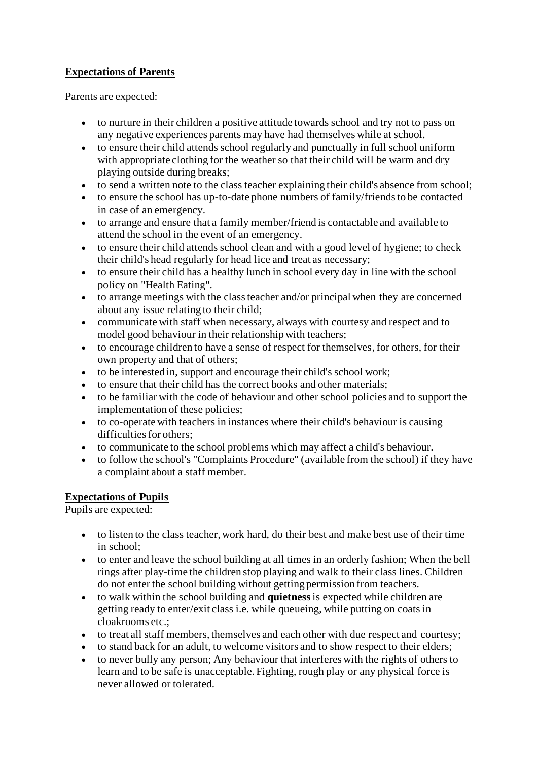# **Expectations of Parents**

Parents are expected:

- to nurture in their children a positive attitude towards school and try not to pass on any negative experiences parents may have had themselves while at school.
- to ensure their child attends school regularly and punctually in full school uniform with appropriate clothing for the weather so that their child will be warm and dry playing outside during breaks;
- to send a written note to the class teacher explaining their child's absence from school;
- to ensure the school has up-to-date phone numbers of family/friends to be contacted in case of an emergency.
- to arrange and ensure that a family member/friend is contactable and available to attend the school in the event of an emergency.
- to ensure their child attends school clean and with a good level of hygiene; to check their child's head regularly for head lice and treat as necessary;
- to ensure their child has a healthy lunch in school every day in line with the school policy on "Health Eating".
- to arrange meetings with the class teacher and/or principal when they are concerned about any issue relating to their child;
- communicate with staff when necessary, always with courtesy and respect and to model good behaviour in their relationship with teachers;
- to encourage children to have a sense of respect for themselves, for others, for their own property and that of others;
- to be interested in, support and encourage their child's school work;
- to ensure that their child has the correct books and other materials;
- to be familiar with the code of behaviour and other school policies and to support the implementation of these policies;
- to co-operate with teachers in instances where their child's behaviour is causing difficulties for others;
- to communicate to the school problems which may affect a child's behaviour.
- to follow the school's "Complaints Procedure" (available from the school) if they have a complaint about a staff member.

# **Expectations of Pupils**

Pupils are expected:

- to listen to the class teacher, work hard, do their best and make best use of their time in school;
- to enter and leave the school building at all times in an orderly fashion; When the bell rings after play-time the children stop playing and walk to their class lines. Children do not enter the school building without getting permission from teachers.
- to walk within the school building and **quietness**is expected while children are getting ready to enter/exit class i.e. while queueing, while putting on coats in cloakrooms etc.;
- to treat all staff members, themselves and each other with due respect and courtesy;
- to stand back for an adult, to welcome visitors and to show respect to their elders;
- to never bully any person; Any behaviour that interferes with the rights of others to learn and to be safe is unacceptable. Fighting, rough play or any physical force is never allowed or tolerated.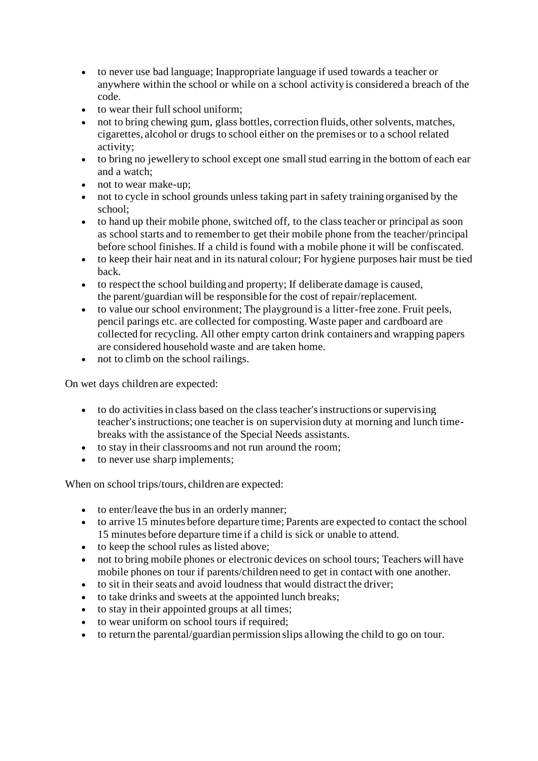- to never use bad language; Inappropriate language if used towards a teacher or anywhere within the school or while on a school activity is considered a breach of the code.
- to wear their full school uniform:
- not to bring chewing gum, glass bottles, correction fluids, other solvents, matches, cigarettes, alcohol or drugs to school either on the premises or to a school related activity;
- to bring no jewellery to school except one small stud earring in the bottom of each ear and a watch;
- not to wear make-up;
- not to cycle in school grounds unless taking part in safety training organised by the school;
- to hand up their mobile phone, switched off, to the class teacher or principal as soon as school starts and to remember to get their mobile phone from the teacher/principal before school finishes. If a child is found with a mobile phone it will be confiscated.
- to keep their hair neat and in its natural colour; For hygiene purposes hair must be tied back.
- to respect the school building and property; If deliberate damage is caused, the parent/guardian will be responsible for the cost of repair/replacement.
- to value our school environment; The playground is a litter-free zone. Fruit peels, pencil parings etc. are collected for composting. Waste paper and cardboard are collected for recycling. All other empty carton drink containers and wrapping papers are considered household waste and are taken home.
- not to climb on the school railings.

On wet days children are expected:

- to do activities in class based on the class teacher's instructions or supervising teacher's instructions; one teacher is on supervision duty at morning and lunch timebreaks with the assistance of the Special Needs assistants.
- to stay in their classrooms and not run around the room;
- to never use sharp implements;

When on school trips/tours, children are expected:

- to enter/leave the bus in an orderly manner;
- to arrive 15 minutes before departure time; Parents are expected to contact the school 15 minutes before departure time if a child is sick or unable to attend.
- to keep the school rules as listed above;
- not to bring mobile phones or electronic devices on school tours; Teachers will have mobile phones on tour if parents/children need to get in contact with one another.
- to sit in their seats and avoid loudness that would distract the driver;
- to take drinks and sweets at the appointed lunch breaks;
- to stay in their appointed groups at all times;
- to wear uniform on school tours if required;
- to return the parental/guardian permission slips allowing the child to go on tour.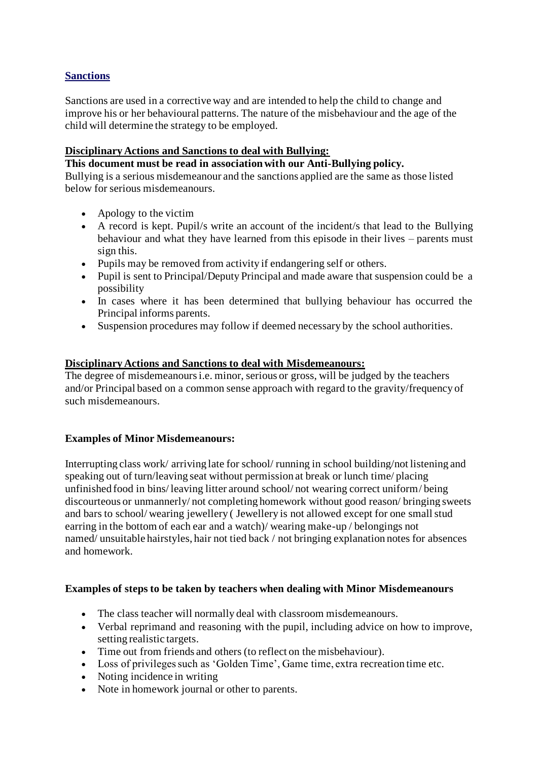# **Sanctions**

Sanctions are used in a corrective way and are intended to help the child to change and improve his or her behavioural patterns. The nature of the misbehaviour and the age of the child will determine the strategy to be employed.

## **Disciplinary Actions and Sanctions to deal with Bullying:**

**This document must be read in association with our Anti-Bullying policy.**

Bullying is a serious misdemeanour and the sanctions applied are the same as those listed below for serious misdemeanours.

- Apology to the victim
- A record is kept. Pupil/s write an account of the incident/s that lead to the Bullying behaviour and what they have learned from this episode in their lives – parents must sign this.
- Pupils may be removed from activity if endangering self or others.
- Pupil is sent to Principal/Deputy Principal and made aware that suspension could be a possibility
- In cases where it has been determined that bullying behaviour has occurred the Principal informs parents.
- Suspension procedures may follow if deemed necessary by the school authorities.

## **Disciplinary Actions and Sanctions to deal with Misdemeanours:**

The degree of misdemeanours i.e. minor, serious or gross, will be judged by the teachers and/or Principal based on a common sense approach with regard to the gravity/frequency of such misdemeanours.

# **Examples of Minor Misdemeanours:**

Interrupting class work/ arriving late for school/ running in school building/not listening and speaking out of turn/leaving seat without permission at break or lunch time/ placing unfinished food in bins/ leaving litter around school/ not wearing correct uniform/ being discourteous or unmannerly/ not completing homework without good reason/ bringing sweets and bars to school/ wearing jewellery ( Jewellery is not allowed except for one small stud earring in the bottom of each ear and a watch)/ wearing make-up / belongings not named/ unsuitable hairstyles, hair not tied back / not bringing explanation notes for absences and homework.

#### **Examples of steps to be taken by teachers when dealing with Minor Misdemeanours**

- The class teacher will normally deal with classroom misdemeanours.
- Verbal reprimand and reasoning with the pupil, including advice on how to improve, setting realistic targets.
- Time out from friends and others (to reflect on the misbehaviour).
- Loss of privileges such as 'Golden Time', Game time, extra recreation time etc.
- Noting incidence in writing
- Note in homework journal or other to parents.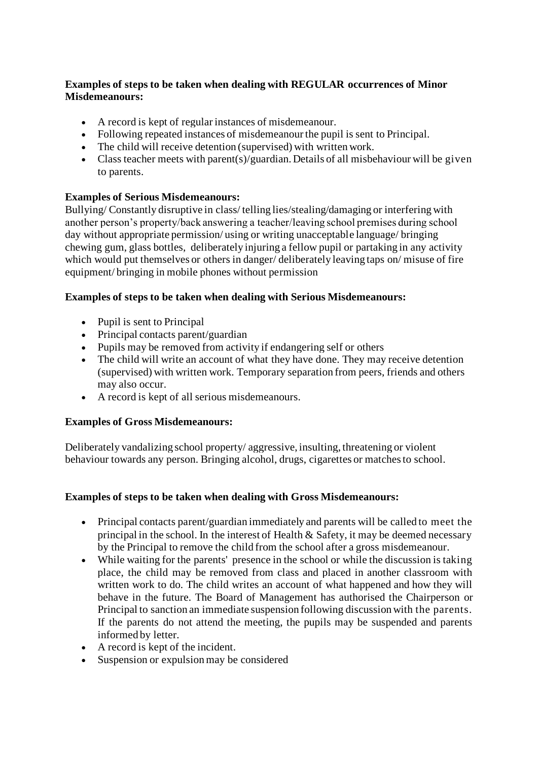# **Examples of steps to be taken when dealing with REGULAR occurrences of Minor Misdemeanours:**

- A record is kept of regular instances of misdemeanour.
- Following repeated instances of misdemeanour the pupil is sent to Principal.
- The child will receive detention (supervised) with written work.
- Class teacher meets with parent(s)/guardian. Details of all misbehaviour will be given to parents.

# **Examples of Serious Misdemeanours:**

Bullying/ Constantly disruptive in class/ telling lies/stealing/damaging or interfering with another person's property/back answering a teacher/leaving school premises during school day without appropriate permission/ using or writing unacceptable language/ bringing chewing gum, glass bottles, deliberately injuring a fellow pupil or partaking in any activity which would put themselves or others in danger/ deliberately leaving taps on/ misuse of fire equipment/ bringing in mobile phones without permission

# **Examples of steps to be taken when dealing with Serious Misdemeanours:**

- Pupil is sent to Principal
- Principal contacts parent/guardian
- Pupils may be removed from activity if endangering self or others
- The child will write an account of what they have done. They may receive detention (supervised) with written work. Temporary separation from peers, friends and others may also occur.
- A record is kept of all serious misdemeanours.

# **Examples of Gross Misdemeanours:**

Deliberately vandalizing school property/ aggressive, insulting, threatening or violent behaviour towards any person. Bringing alcohol, drugs, cigarettes or matches to school.

# **Examples of steps to be taken when dealing with Gross Misdemeanours:**

- Principal contacts parent/guardian immediately and parents will be called to meet the principal in the school. In the interest of Health  $\&$  Safety, it may be deemed necessary by the Principal to remove the child from the school after a gross misdemeanour.
- While waiting for the parents' presence in the school or while the discussion is taking place, the child may be removed from class and placed in another classroom with written work to do. The child writes an account of what happened and how they will behave in the future. The Board of Management has authorised the Chairperson or Principal to sanction an immediate suspension following discussion with the parents. If the parents do not attend the meeting, the pupils may be suspended and parents informed by letter.
- A record is kept of the incident.
- Suspension or expulsion may be considered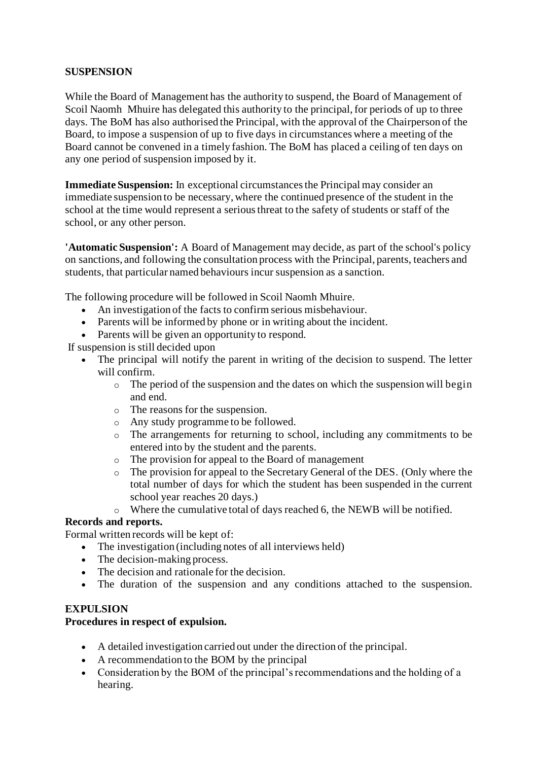# **SUSPENSION**

While the Board of Management has the authority to suspend, the Board of Management of Scoil Naomh Mhuire has delegated this authority to the principal, for periods of up to three days. The BoM has also authorised the Principal, with the approval of the Chairperson of the Board, to impose a suspension of up to five days in circumstances where a meeting of the Board cannot be convened in a timely fashion. The BoM has placed a ceiling of ten days on any one period of suspension imposed by it.

**Immediate Suspension:** In exceptional circumstances the Principal may consider an immediate suspension to be necessary, where the continued presence of the student in the school at the time would represent a serious threat to the safety of students or staff of the school, or any other person.

**'Automatic Suspension':** A Board of Management may decide, as part of the school's policy on sanctions, and following the consultation process with the Principal, parents, teachers and students, that particular named behaviours incur suspension as a sanction.

The following procedure will be followed in Scoil Naomh Mhuire.

- An investigation of the facts to confirm serious misbehaviour.
- Parents will be informed by phone or in writing about the incident.
- Parents will be given an opportunity to respond.

If suspension is still decided upon

- The principal will notify the parent in writing of the decision to suspend. The letter will confirm.
	- o The period of the suspension and the dates on which the suspension will begin and end.
	- o The reasons for the suspension.
	- o Any study programme to be followed.
	- o The arrangements for returning to school, including any commitments to be entered into by the student and the parents.
	- o The provision for appeal to the Board of management
	- o The provision for appeal to the Secretary General of the DES. (Only where the total number of days for which the student has been suspended in the current school year reaches 20 days.)
	- o Where the cumulative total of days reached 6, the NEWB will be notified.

#### **Records and reports.**

Formal written records will be kept of:

- The investigation (including notes of all interviews held)
- The decision-making process.
- The decision and rationale for the decision.
- The duration of the suspension and any conditions attached to the suspension.

#### **EXPULSION**

#### **Procedures in respect of expulsion.**

- A detailed investigation carried out under the direction of the principal.
- A recommendation to the BOM by the principal
- Consideration by the BOM of the principal's recommendations and the holding of a hearing.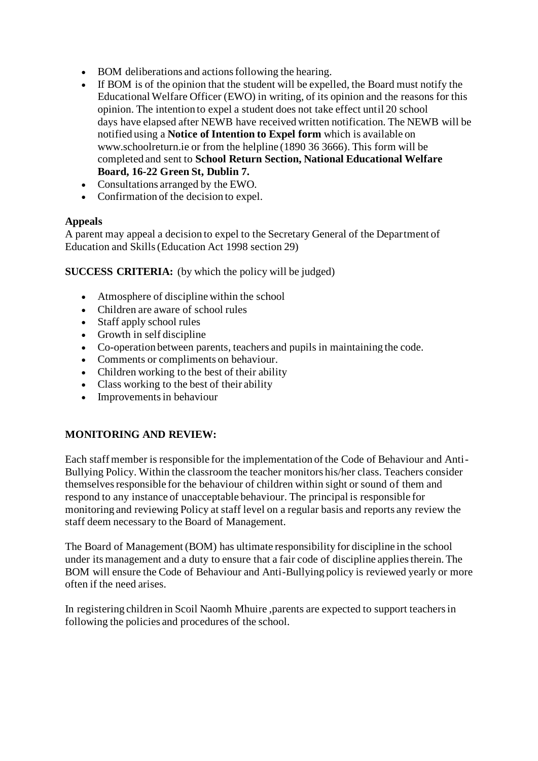- BOM deliberations and actions following the hearing.
- If BOM is of the opinion that the student will be expelled, the Board must notify the Educational Welfare Officer (EWO) in writing, of its opinion and the reasons for this opinion. The intention to expel a student does not take effect until 20 school days have elapsed after NEWB have received written notification. The NEWB will be notified using a **Notice of Intention to Expel form** which is available on www.schoolreturn.ie or from the helpline (1890 36 3666). This form will be completed and sent to **School Return Section, National Educational Welfare Board, 16-22 Green St, Dublin 7.**
- Consultations arranged by the EWO.
- Confirmation of the decision to expel.

# **Appeals**

A parent may appeal a decision to expel to the Secretary General of the Department of Education and Skills (Education Act 1998 section 29)

**SUCCESS CRITERIA:** (by which the policy will be judged)

- Atmosphere of discipline within the school
- Children are aware of school rules
- Staff apply school rules
- Growth in self discipline
- Co-operation between parents, teachers and pupils in maintaining the code.
- Comments or compliments on behaviour.
- Children working to the best of their ability
- Class working to the best of their ability
- Improvements in behaviour

# **MONITORING AND REVIEW:**

Each staff member is responsible for the implementation of the Code of Behaviour and Anti-Bullying Policy. Within the classroom the teacher monitors his/her class. Teachers consider themselves responsible for the behaviour of children within sight or sound of them and respond to any instance of unacceptable behaviour. The principal is responsible for monitoring and reviewing Policy at staff level on a regular basis and reports any review the staff deem necessary to the Board of Management.

The Board of Management (BOM) has ultimate responsibility for discipline in the school under its management and a duty to ensure that a fair code of discipline applies therein. The BOM will ensure the Code of Behaviour and Anti-Bullying policy is reviewed yearly or more often if the need arises.

In registering children in Scoil Naomh Mhuire ,parents are expected to support teachers in following the policies and procedures of the school.